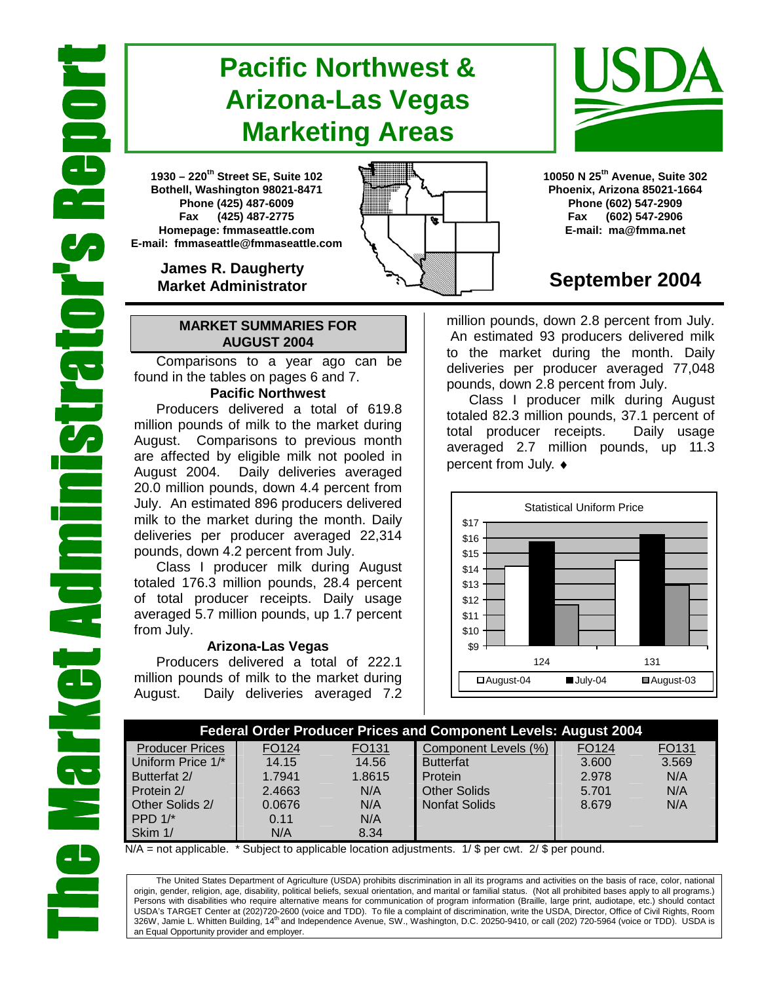# **Pacific Northwest & Arizona-Las Vegas Marketing Areas**

**1930 – 220th Street SE, Suite 102 Bothell, Washington 98021-8471 Phone (425) 487-6009 Fax (425) 487-2775 Homepage: fmmaseattle.com E-mail: fmmaseattle@fmmaseattle.com**

> **James R. Daugherty Market Administrator**

### **MARKET SUMMARIES FOR AUGUST 2004**

 Comparisons to a year ago can be found in the tables on pages 6 and 7.

### **Pacific Northwest**

Producers delivered a total of 619.8 million pounds of milk to the market during August. Comparisons to previous month are affected by eligible milk not pooled in August 2004. Daily deliveries averaged 20.0 million pounds, down 4.4 percent from July. An estimated 896 producers delivered milk to the market during the month. Daily deliveries per producer averaged 22,314 pounds, down 4.2 percent from July.

Class I producer milk during August totaled 176.3 million pounds, 28.4 percent of total producer receipts. Daily usage averaged 5.7 million pounds, up 1.7 percent from July.

#### **Arizona-Las Vegas**

Producers delivered a total of 222.1 million pounds of milk to the market during August. Daily deliveries averaged 7.2 **10050 N 25th Avenue, Suite 302 Phoenix, Arizona 85021-1664 Phone (602) 547-2909 Fax (602) 547-2906 E-mail: ma@fmma.net**

## **September 2004**

million pounds, down 2.8 percent from July. An estimated 93 producers delivered milk to the market during the month. Daily deliveries per producer averaged 77,048 pounds, down 2.8 percent from July.

Class I producer milk during August totaled 82.3 million pounds, 37.1 percent of total producer receipts. Daily usage averaged 2.7 million pounds, up 11.3 percent from July. ♦



| <b>Federal Order Producer Prices and Component Levels: August 2004</b> |        |        |                      |       |                   |  |  |  |  |
|------------------------------------------------------------------------|--------|--------|----------------------|-------|-------------------|--|--|--|--|
| <b>Producer Prices</b>                                                 | FO124  | FO131  | Component Levels (%) | FO124 | FO <sub>131</sub> |  |  |  |  |
| Uniform Price 1/*                                                      | 14.15  | 14.56  | <b>Butterfat</b>     | 3.600 | 3.569             |  |  |  |  |
| Butterfat 2/                                                           | 1.7941 | 1.8615 | Protein              | 2.978 | N/A               |  |  |  |  |
| Protein 2/                                                             | 2.4663 | N/A    | <b>Other Solids</b>  | 5.701 | N/A               |  |  |  |  |
| Other Solids 2/                                                        | 0.0676 | N/A    | <b>Nonfat Solids</b> | 8.679 | N/A               |  |  |  |  |
| PPD $1$ <sup>*</sup>                                                   | 0.11   | N/A    |                      |       |                   |  |  |  |  |
| Skim 1/                                                                | N/A    | 8.34   |                      |       |                   |  |  |  |  |

 $N/A$  = not applicable. \* Subject to applicable location adjustments. 1/ \$ per cwt. 2/ \$ per pound.

The United States Department of Agriculture (USDA) prohibits discrimination in all its programs and activities on the basis of race, color, national origin, gender, religion, age, disability, political beliefs, sexual orientation, and marital or familial status. (Not all prohibited bases apply to all programs.) Persons with disabilities who require alternative means for communication of program information (Braille, large print, audiotape, etc.) should contact USDA's TARGET Center at (202)720-2600 (voice and TDD). To file a complaint of discrimination, write the USDA, Director, Office of Civil Rights, Room 326W, Jamie L. Whitten Building, 14<sup>th</sup> and Independence Avenue, SW., Washington, D.C. 20250-9410, or call (202) 720-5964 (voice or TDD). USDA is an Equal Opportunity provider and employer.



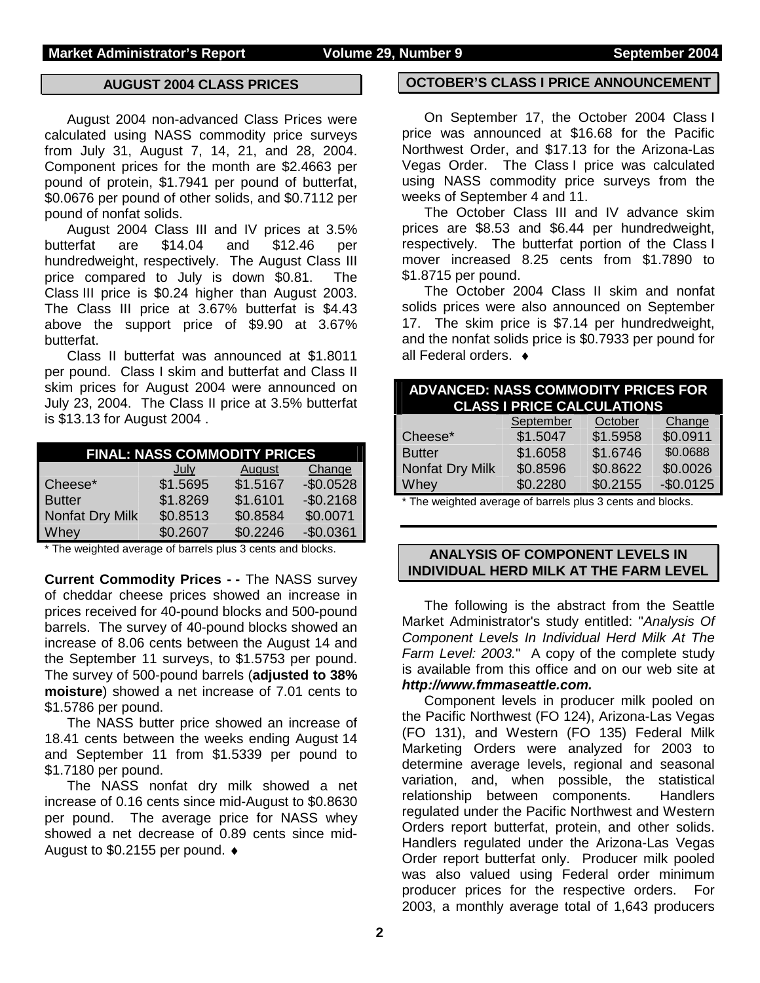### **AUGUST 2004 CLASS PRICES**

August 2004 non-advanced Class Prices were calculated using NASS commodity price surveys from July 31, August 7, 14, 21, and 28, 2004. Component prices for the month are \$2.4663 per pound of protein, \$1.7941 per pound of butterfat, \$0.0676 per pound of other solids, and \$0.7112 per pound of nonfat solids.

 August 2004 Class III and IV prices at 3.5% butterfat are \$14.04 and \$12.46 per hundredweight, respectively. The August Class III price compared to July is down \$0.81. The Class III price is \$0.24 higher than August 2003. The Class III price at 3.67% butterfat is \$4.43 above the support price of \$9.90 at 3.67% butterfat.

Class II butterfat was announced at \$1.8011 per pound. Class I skim and butterfat and Class II skim prices for August 2004 were announced on July 23, 2004. The Class II price at 3.5% butterfat is \$13.13 for August 2004 .

| <b>FINAL: NASS COMMODITY PRICES</b> |          |          |            |  |  |  |
|-------------------------------------|----------|----------|------------|--|--|--|
|                                     | July     | August   | Change     |  |  |  |
| Cheese*                             | \$1.5695 | \$1.5167 | $-$0.0528$ |  |  |  |
| <b>Butter</b>                       | \$1.8269 | \$1.6101 | $-$0.2168$ |  |  |  |
| Nonfat Dry Milk                     | \$0.8513 | \$0.8584 | \$0.0071   |  |  |  |
| Whey                                | \$0.2607 | \$0.2246 | $-$0.0361$ |  |  |  |

\* The weighted average of barrels plus 3 cents and blocks.

**Current Commodity Prices - -** The NASS survey of cheddar cheese prices showed an increase in prices received for 40-pound blocks and 500-pound barrels. The survey of 40-pound blocks showed an increase of 8.06 cents between the August 14 and the September 11 surveys, to \$1.5753 per pound. The survey of 500-pound barrels (**adjusted to 38% moisture**) showed a net increase of 7.01 cents to \$1.5786 per pound.

The NASS butter price showed an increase of 18.41 cents between the weeks ending August 14 and September 11 from \$1.5339 per pound to \$1.7180 per pound.

The NASS nonfat dry milk showed a net increase of 0.16 cents since mid-August to \$0.8630 per pound. The average price for NASS whey showed a net decrease of 0.89 cents since mid-August to \$0.2155 per pound. ♦

#### **OCTOBER'S CLASS I PRICE ANNOUNCEMENT**

 On September 17, the October 2004 Class I price was announced at \$16.68 for the Pacific Northwest Order, and \$17.13 for the Arizona-Las Vegas Order. The Class I price was calculated using NASS commodity price surveys from the weeks of September 4 and 11.

 The October Class III and IV advance skim prices are \$8.53 and \$6.44 per hundredweight, respectively. The butterfat portion of the Class I mover increased 8.25 cents from \$1.7890 to \$1.8715 per pound.

 The October 2004 Class II skim and nonfat solids prices were also announced on September 17. The skim price is \$7.14 per hundredweight, and the nonfat solids price is \$0.7933 per pound for all Federal orders. ♦

| <b>ADVANCED: NASS COMMODITY PRICES FOR</b><br><b>CLASS I PRICE CALCULATIONS</b> |           |          |            |  |  |  |
|---------------------------------------------------------------------------------|-----------|----------|------------|--|--|--|
|                                                                                 | September | October  | Change     |  |  |  |
| Cheese*                                                                         | \$1.5047  | \$1.5958 | \$0.0911   |  |  |  |
| <b>Butter</b>                                                                   | \$1.6058  | \$1.6746 | \$0.0688   |  |  |  |
| Nonfat Dry Milk                                                                 | \$0.8596  | \$0.8622 | \$0.0026   |  |  |  |
| Whey                                                                            | \$0.2280  | \$0.2155 | $-$0.0125$ |  |  |  |
|                                                                                 |           |          |            |  |  |  |

\* The weighted average of barrels plus 3 cents and blocks.

#### **ANALYSIS OF COMPONENT LEVELS IN INDIVIDUAL HERD MILK AT THE FARM LEVEL**

The following is the abstract from the Seattle Market Administrator's study entitled: "*Analysis Of Component Levels In Individual Herd Milk At The Farm Level: 2003.*" A copy of the complete study is available from this office and on our web site at *http://www.fmmaseattle.com.*

Component levels in producer milk pooled on the Pacific Northwest (FO 124), Arizona-Las Vegas (FO 131), and Western (FO 135) Federal Milk Marketing Orders were analyzed for 2003 to determine average levels, regional and seasonal variation, and, when possible, the statistical relationship between components. Handlers regulated under the Pacific Northwest and Western Orders report butterfat, protein, and other solids. Handlers regulated under the Arizona-Las Vegas Order report butterfat only. Producer milk pooled was also valued using Federal order minimum producer prices for the respective orders. For 2003, a monthly average total of 1,643 producers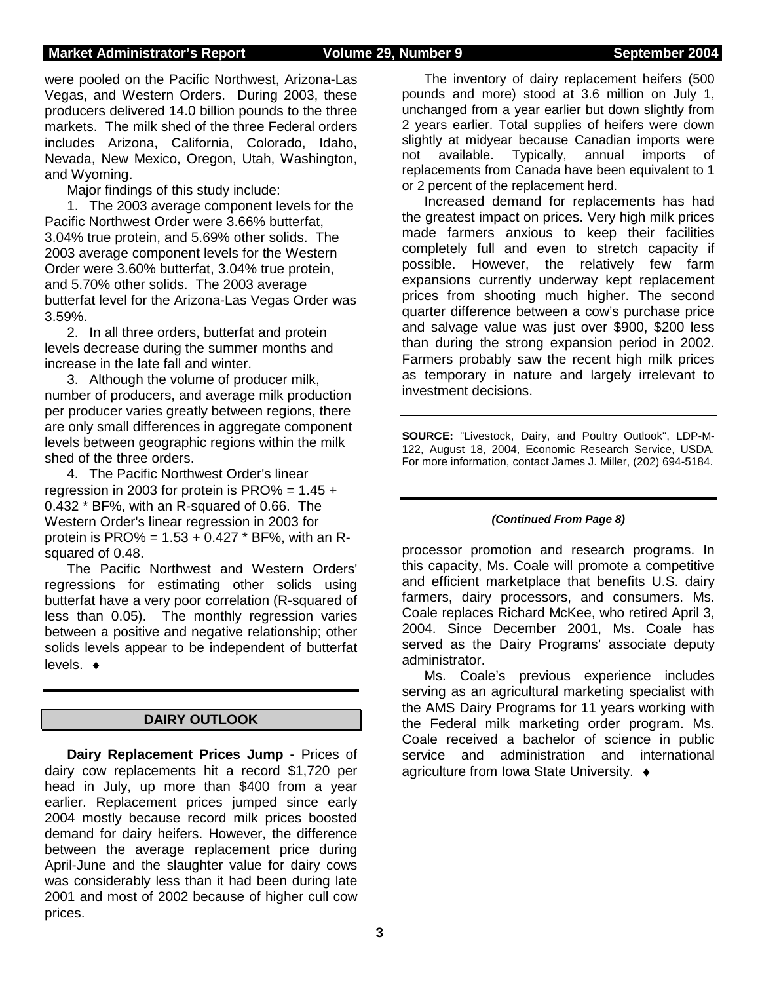#### **Market Administrator's Report Volume 29, Number 9 September 2004**

were pooled on the Pacific Northwest, Arizona-Las Vegas, and Western Orders. During 2003, these producers delivered 14.0 billion pounds to the three markets. The milk shed of the three Federal orders includes Arizona, California, Colorado, Idaho, Nevada, New Mexico, Oregon, Utah, Washington, and Wyoming.

Major findings of this study include:

1. The 2003 average component levels for the Pacific Northwest Order were 3.66% butterfat, 3.04% true protein, and 5.69% other solids. The 2003 average component levels for the Western Order were 3.60% butterfat, 3.04% true protein, and 5.70% other solids. The 2003 average butterfat level for the Arizona-Las Vegas Order was 3.59%.

2. In all three orders, butterfat and protein levels decrease during the summer months and increase in the late fall and winter.

3. Although the volume of producer milk, number of producers, and average milk production per producer varies greatly between regions, there are only small differences in aggregate component levels between geographic regions within the milk shed of the three orders.

4. The Pacific Northwest Order's linear regression in 2003 for protein is  $PRO\% = 1.45 +$ 0.432 \* BF%, with an R-squared of 0.66. The Western Order's linear regression in 2003 for protein is PRO% =  $1.53 + 0.427$  \* BF%, with an Rsquared of 0.48.

The Pacific Northwest and Western Orders' regressions for estimating other solids using butterfat have a very poor correlation (R-squared of less than 0.05). The monthly regression varies between a positive and negative relationship; other solids levels appear to be independent of butterfat levels. ♦

### **DAIRY OUTLOOK**

**Dairy Replacement Prices Jump -** Prices of dairy cow replacements hit a record \$1,720 per head in July, up more than \$400 from a year earlier. Replacement prices jumped since early 2004 mostly because record milk prices boosted demand for dairy heifers. However, the difference between the average replacement price during April-June and the slaughter value for dairy cows was considerably less than it had been during late 2001 and most of 2002 because of higher cull cow prices.

The inventory of dairy replacement heifers (500 pounds and more) stood at 3.6 million on July 1, unchanged from a year earlier but down slightly from 2 years earlier. Total supplies of heifers were down slightly at midyear because Canadian imports were not available. Typically, annual imports of replacements from Canada have been equivalent to 1 or 2 percent of the replacement herd.

Increased demand for replacements has had the greatest impact on prices. Very high milk prices made farmers anxious to keep their facilities completely full and even to stretch capacity if possible. However, the relatively few farm expansions currently underway kept replacement prices from shooting much higher. The second quarter difference between a cow's purchase price and salvage value was just over \$900, \$200 less than during the strong expansion period in 2002. Farmers probably saw the recent high milk prices as temporary in nature and largely irrelevant to investment decisions.

**SOURCE:** "Livestock, Dairy, and Poultry Outlook", LDP-M-122, August 18, 2004, Economic Research Service, USDA. For more information, contact James J. Miller, (202) 694-5184.

#### *(Continued From Page 8)*

processor promotion and research programs. In this capacity, Ms. Coale will promote a competitive and efficient marketplace that benefits U.S. dairy farmers, dairy processors, and consumers. Ms. Coale replaces Richard McKee, who retired April 3, 2004. Since December 2001, Ms. Coale has served as the Dairy Programs' associate deputy administrator.

Ms. Coale's previous experience includes serving as an agricultural marketing specialist with the AMS Dairy Programs for 11 years working with the Federal milk marketing order program. Ms. Coale received a bachelor of science in public service and administration and international agriculture from Iowa State University. ♦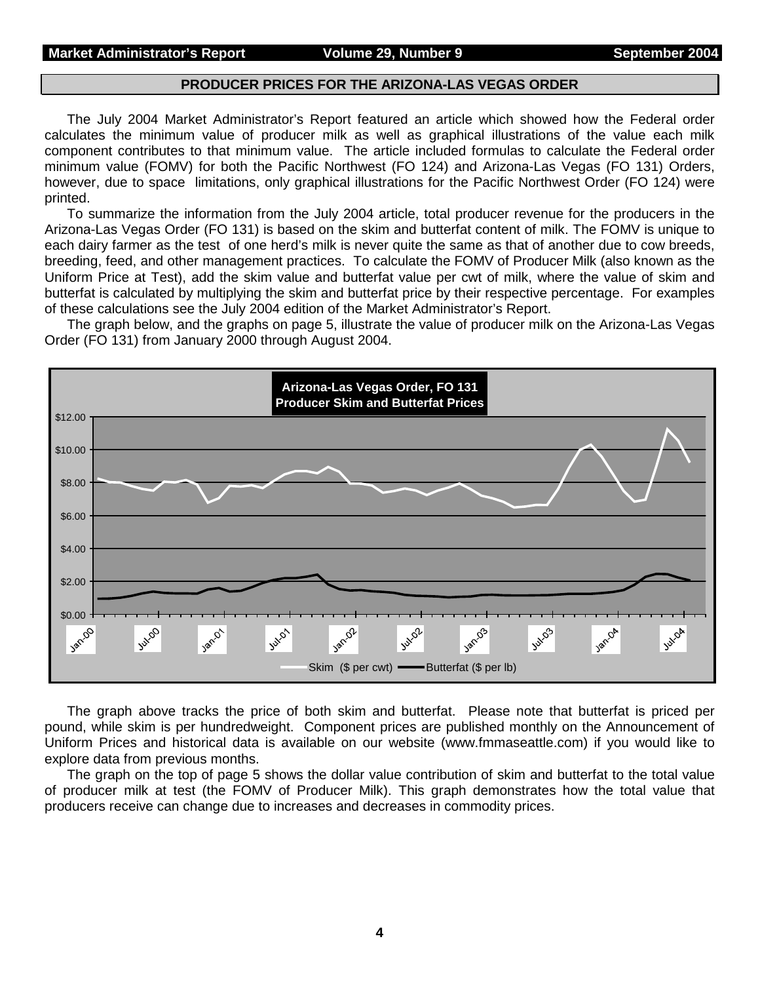#### **Market Administrator's Report Colume 29, Number 9 September 2004**

#### **PRODUCER PRICES FOR THE ARIZONA-LAS VEGAS ORDER**

The July 2004 Market Administrator's Report featured an article which showed how the Federal order calculates the minimum value of producer milk as well as graphical illustrations of the value each milk component contributes to that minimum value. The article included formulas to calculate the Federal order minimum value (FOMV) for both the Pacific Northwest (FO 124) and Arizona-Las Vegas (FO 131) Orders, however, due to space limitations, only graphical illustrations for the Pacific Northwest Order (FO 124) were printed.

To summarize the information from the July 2004 article, total producer revenue for the producers in the Arizona-Las Vegas Order (FO 131) is based on the skim and butterfat content of milk. The FOMV is unique to each dairy farmer as the test of one herd's milk is never quite the same as that of another due to cow breeds, breeding, feed, and other management practices. To calculate the FOMV of Producer Milk (also known as the Uniform Price at Test), add the skim value and butterfat value per cwt of milk, where the value of skim and butterfat is calculated by multiplying the skim and butterfat price by their respective percentage. For examples of these calculations see the July 2004 edition of the Market Administrator's Report.

The graph below, and the graphs on page 5, illustrate the value of producer milk on the Arizona-Las Vegas Order (FO 131) from January 2000 through August 2004.



The graph above tracks the price of both skim and butterfat. Please note that butterfat is priced per pound, while skim is per hundredweight. Component prices are published monthly on the Announcement of Uniform Prices and historical data is available on our website (www.fmmaseattle.com) if you would like to explore data from previous months.

The graph on the top of page 5 shows the dollar value contribution of skim and butterfat to the total value of producer milk at test (the FOMV of Producer Milk). This graph demonstrates how the total value that producers receive can change due to increases and decreases in commodity prices.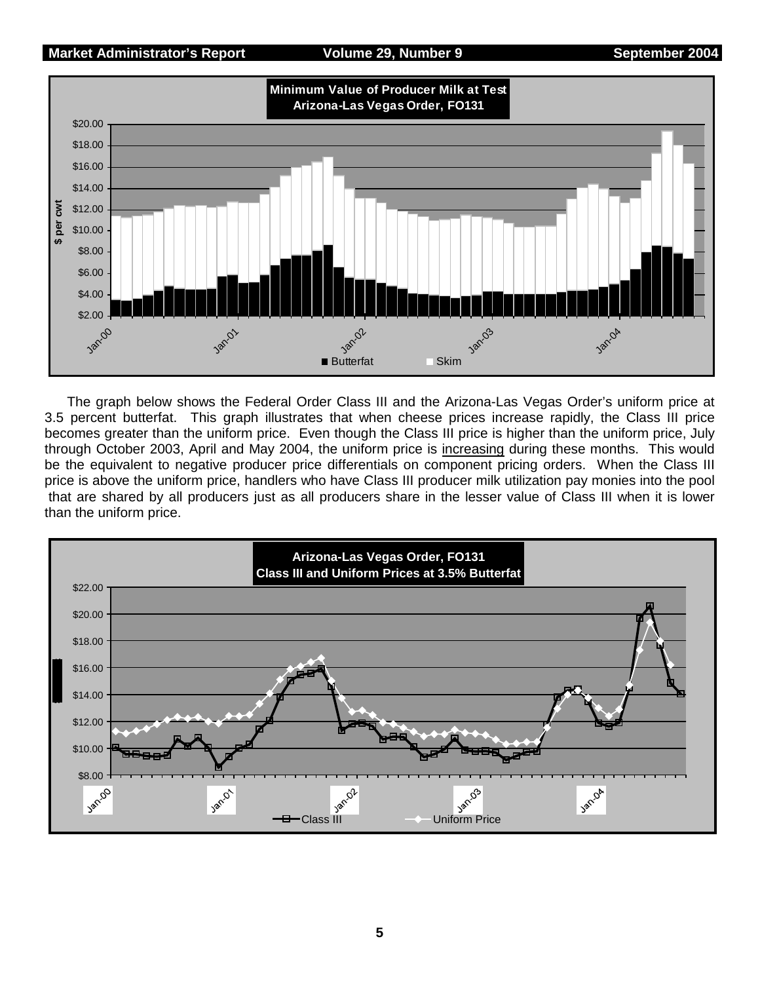#### **Market Administrator's Report Volume 29, Number 9 September 2004**



The graph below shows the Federal Order Class III and the Arizona-Las Vegas Order's uniform price at 3.5 percent butterfat. This graph illustrates that when cheese prices increase rapidly, the Class III price becomes greater than the uniform price. Even though the Class III price is higher than the uniform price, July through October 2003, April and May 2004, the uniform price is increasing during these months. This would be the equivalent to negative producer price differentials on component pricing orders. When the Class III price is above the uniform price, handlers who have Class III producer milk utilization pay monies into the pool that are shared by all producers just as all producers share in the lesser value of Class III when it is lower than the uniform price.

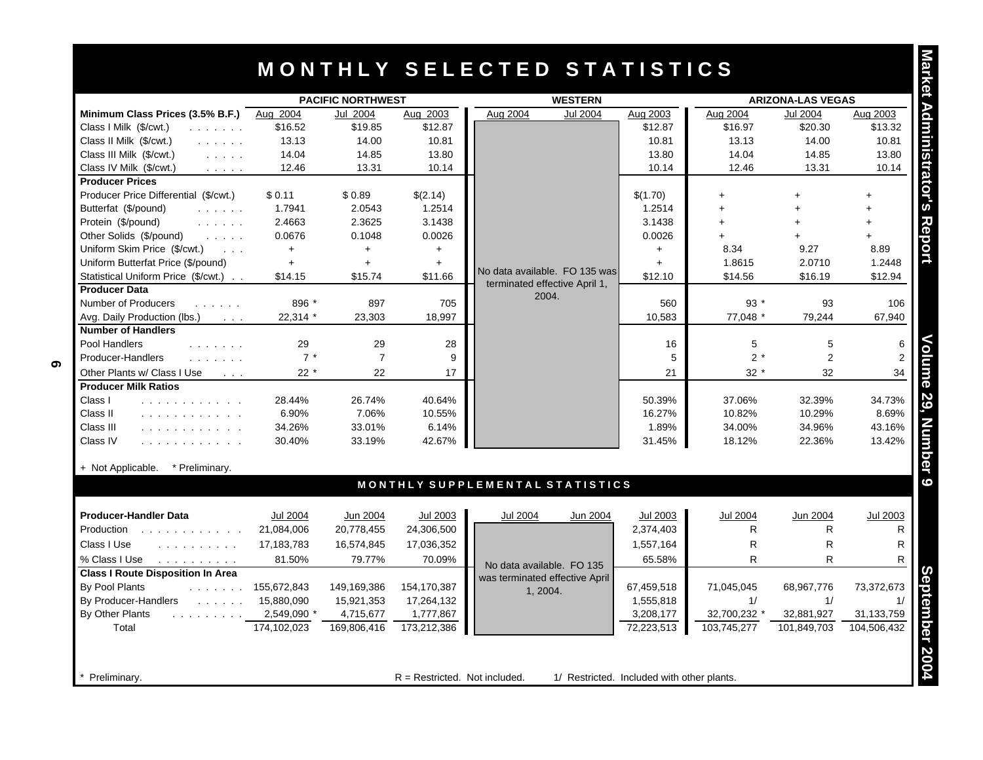## **M O N T H L Y S E L E C T E D S T A T I S T I C S**

| Minimum Class Prices (3.5% B.F.)<br>Class I Milk (\$/cwt.)<br>a dia anala a<br>Class II Milk (\$/cwt.)<br>and a straight<br>Class III Milk (\$/cwt.)<br>$\mathcal{L}^{\mathcal{A}}$ . The same $\mathcal{L}^{\mathcal{A}}$<br>Class IV Milk (\$/cwt.)<br>$\mathcal{L}^{\mathcal{A}}$ , $\mathcal{L}^{\mathcal{A}}$ , $\mathcal{L}^{\mathcal{A}}$ , $\mathcal{L}^{\mathcal{A}}$<br><b>Producer Prices</b> | Aug 2004<br>\$16.52<br>13.13 | Jul 2004       |             |                                 |            |                 |                 |                 |
|----------------------------------------------------------------------------------------------------------------------------------------------------------------------------------------------------------------------------------------------------------------------------------------------------------------------------------------------------------------------------------------------------------|------------------------------|----------------|-------------|---------------------------------|------------|-----------------|-----------------|-----------------|
|                                                                                                                                                                                                                                                                                                                                                                                                          |                              |                | Aug 2003    | Aug 2004<br><b>Jul 2004</b>     | Aug 2003   | Aug 2004        | <b>Jul 2004</b> | Aug 2003        |
|                                                                                                                                                                                                                                                                                                                                                                                                          |                              | \$19.85        | \$12.87     |                                 | \$12.87    | \$16.97         | \$20.30         | \$13.32         |
|                                                                                                                                                                                                                                                                                                                                                                                                          |                              | 14.00          | 10.81       |                                 | 10.81      | 13.13           | 14.00           | 10.81           |
|                                                                                                                                                                                                                                                                                                                                                                                                          | 14.04                        | 14.85          | 13.80       |                                 | 13.80      | 14.04           | 14.85           | 13.80           |
|                                                                                                                                                                                                                                                                                                                                                                                                          | 12.46                        | 13.31          | 10.14       |                                 | 10.14      | 12.46           | 13.31           | 10.14           |
|                                                                                                                                                                                                                                                                                                                                                                                                          |                              |                |             |                                 |            |                 |                 |                 |
| Producer Price Differential (\$/cwt.)                                                                                                                                                                                                                                                                                                                                                                    | \$0.11                       | \$0.89         | \$(2.14)    |                                 | \$(1.70)   | $+$             | ÷               | $\ddot{}$       |
| Butterfat (\$/pound)<br>$\mathbb{Z}^2$ . The set of the $\mathbb{Z}^2$                                                                                                                                                                                                                                                                                                                                   | 1.7941                       | 2.0543         | 1.2514      |                                 | 1.2514     |                 |                 | $+$             |
| Protein (\$/pound)<br>$\mathcal{L}^{\mathcal{A}}$ . The set of the $\mathcal{A}$                                                                                                                                                                                                                                                                                                                         | 2.4663                       | 2.3625         | 3.1438      |                                 | 3.1438     |                 | $\ddot{}$       | $+$             |
| Other Solids (\$/pound)<br>2.121212                                                                                                                                                                                                                                                                                                                                                                      | 0.0676                       | 0.1048         | 0.0026      |                                 | 0.0026     |                 |                 |                 |
| Uniform Skim Price (\$/cwt.)<br>$\mathbf{1}$ $\mathbf{1}$                                                                                                                                                                                                                                                                                                                                                | $+$                          | $+$            | $+$         |                                 | $+$        | 8.34            | 9.27            | 8.89            |
| Uniform Butterfat Price (\$/pound)                                                                                                                                                                                                                                                                                                                                                                       | $+$                          | $\ddot{}$      | $+$         | No data available. FO 135 was   | $+$        | 1.8615          | 2.0710          | 1.2448          |
| Statistical Uniform Price (\$/cwt.)                                                                                                                                                                                                                                                                                                                                                                      | \$14.15                      | \$15.74        | \$11.66     | terminated effective April 1,   | \$12.10    | \$14.56         | \$16.19         | \$12.94         |
| <b>Producer Data</b>                                                                                                                                                                                                                                                                                                                                                                                     |                              |                |             | 2004.                           |            |                 |                 |                 |
| Number of Producers<br>.                                                                                                                                                                                                                                                                                                                                                                                 | 896 *                        | 897            | 705         |                                 | 560        | 93 $*$          | 93              | 106             |
| Avg. Daily Production (lbs.)<br><b>Contract</b>                                                                                                                                                                                                                                                                                                                                                          | 22,314 *                     | 23,303         | 18,997      |                                 | 10,583     | 77,048 *        | 79,244          | 67,940          |
| <b>Number of Handlers</b>                                                                                                                                                                                                                                                                                                                                                                                |                              |                |             |                                 |            |                 |                 |                 |
| Pool Handlers                                                                                                                                                                                                                                                                                                                                                                                            | 29                           | 29             | 28          |                                 | 16         | $\,$ 5 $\,$     | 5               | 6               |
| Producer-Handlers<br>.                                                                                                                                                                                                                                                                                                                                                                                   | $7 *$                        | $\overline{7}$ | 9           |                                 | 5          | $2*$            | $\overline{2}$  |                 |
| Other Plants w/ Class I Use<br>$\sim 100$ km $^{-1}$                                                                                                                                                                                                                                                                                                                                                     | $22 *$                       | 22             | 17          |                                 | 21         | $32*$           | 32              | 34              |
| <b>Producer Milk Ratios</b>                                                                                                                                                                                                                                                                                                                                                                              |                              |                |             |                                 |            |                 |                 |                 |
| Class I<br>and a straightful and a straight                                                                                                                                                                                                                                                                                                                                                              | 28.44%                       | 26.74%         | 40.64%      |                                 | 50.39%     | 37.06%          | 32.39%          | 34.73%          |
| Class II<br>.                                                                                                                                                                                                                                                                                                                                                                                            | 6.90%                        | 7.06%          | 10.55%      |                                 | 16.27%     | 10.82%          | 10.29%          | 8.69%           |
| Class III<br>.                                                                                                                                                                                                                                                                                                                                                                                           | 34.26%                       | 33.01%         | 6.14%       |                                 | 1.89%      | 34.00%          | 34.96%          | 43.16%          |
| Class IV<br>and a straightful and a straight                                                                                                                                                                                                                                                                                                                                                             | 30.40%                       | 33.19%         | 42.67%      |                                 | 31.45%     | 18.12%          | 22.36%          | 13.42%          |
| + Not Applicable.<br>* Preliminary.                                                                                                                                                                                                                                                                                                                                                                      |                              |                |             |                                 |            |                 |                 |                 |
|                                                                                                                                                                                                                                                                                                                                                                                                          |                              |                |             | MONTHLY SUPPLEMENTAL STATISTICS |            |                 |                 |                 |
| <b>Producer-Handler Data</b>                                                                                                                                                                                                                                                                                                                                                                             | <b>Jul 2004</b>              | Jun 2004       | Jul 2003    | <b>Jul 2004</b><br>Jun 2004     | Jul 2003   | <b>Jul 2004</b> | Jun 2004        | <b>Jul 2003</b> |
| Production                                                                                                                                                                                                                                                                                                                                                                                               | 21,084,006                   | 20,778,455     | 24,306,500  |                                 | 2,374,403  | R               | R               | R               |
| Class I Use<br>.                                                                                                                                                                                                                                                                                                                                                                                         | 17,183,783                   | 16,574,845     | 17,036,352  |                                 | 1,557,164  | R               | $\mathsf{R}$    | R               |
| % Class I Use<br>and a straight and a straight                                                                                                                                                                                                                                                                                                                                                           | 81.50%                       | 79.77%         | 70.09%      |                                 | 65.58%     | R               | R               | R               |
| <b>Class I Route Disposition In Area</b>                                                                                                                                                                                                                                                                                                                                                                 |                              |                |             | No data available. FO 135       |            |                 |                 |                 |
| By Pool Plants<br>and a straight                                                                                                                                                                                                                                                                                                                                                                         | 155,672,843                  | 149,169,386    | 154,170,387 | was terminated effective April  | 67,459,518 | 71,045,045      | 68,967,776      | 73,372,673      |
| By Producer-Handlers<br><b>Contractor</b>                                                                                                                                                                                                                                                                                                                                                                | 15,880,090                   | 15,921,353     | 17,264,132  | 1, 2004.                        | 1,555,818  | 1/              | 1/              |                 |
| By Other Plants                                                                                                                                                                                                                                                                                                                                                                                          | 2,549,090 *                  | 4,715,677      | 1,777,867   |                                 | 3,208,177  | 32,700,232 *    | 32,881,927      | 31,133,759      |
| Total                                                                                                                                                                                                                                                                                                                                                                                                    | 174.102.023                  | 169.806.416    | 173.212.386 |                                 | 72,223,513 | 103.745.277     | 101.849.703     | 104.506.432     |

|  | ٦ |
|--|---|
|  |   |
|  |   |
|  |   |
|  | Ξ |
|  |   |
|  |   |
|  |   |
|  |   |

**Preliminary.** The restricted of  $R =$  Restricted. Not included. 11 Restricted. Included with other plants.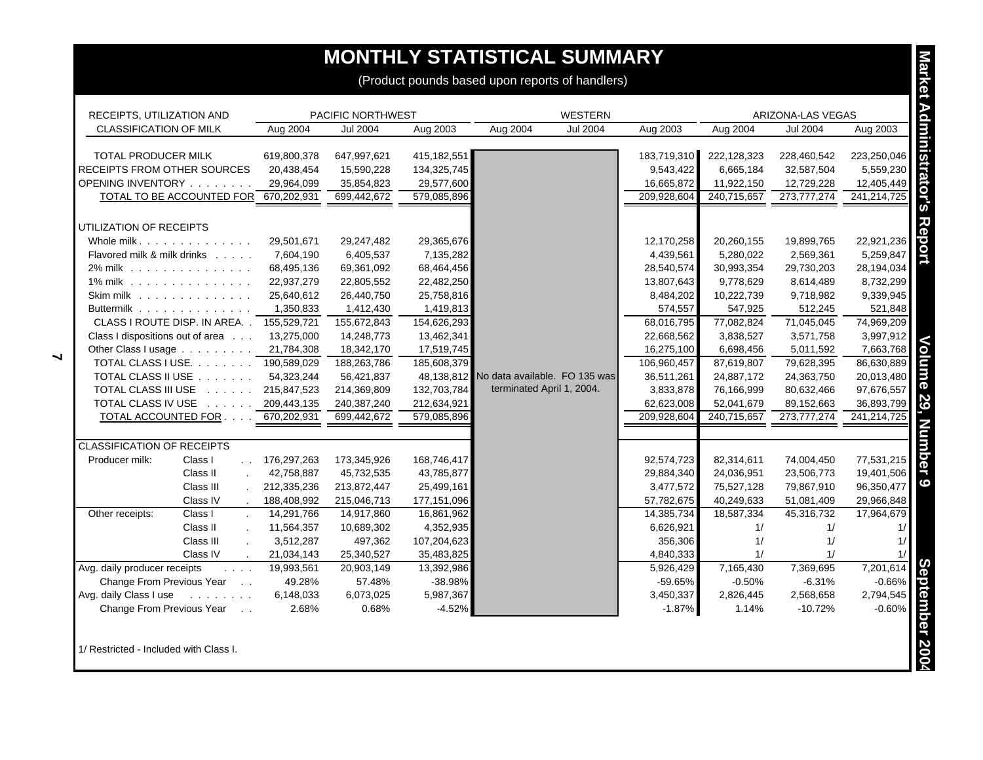## **MONTHLY STATISTICAL SUMMARY**

| <b>MONTHLY STATISTICAL SUMMARY</b>                                                              |                                           |                   |             |                                          |                 |             |             |                   |             |
|-------------------------------------------------------------------------------------------------|-------------------------------------------|-------------------|-------------|------------------------------------------|-----------------|-------------|-------------|-------------------|-------------|
| (Product pounds based upon reports of handlers)                                                 |                                           |                   |             |                                          |                 |             |             |                   |             |
| <b>Market</b>                                                                                   |                                           |                   |             |                                          |                 |             |             |                   |             |
| RECEIPTS, UTILIZATION AND                                                                       |                                           | PACIFIC NORTHWEST |             |                                          | <b>WESTERN</b>  |             |             | ARIZONA-LAS VEGAS |             |
| CLASSIFICATION OF MILK                                                                          | Aug 2004                                  | <b>Jul 2004</b>   | Aug 2003    | Aug 2004                                 | <b>Jul 2004</b> | Aug 2003    | Aug 2004    | <b>Jul 2004</b>   | Aug 2003    |
| TOTAL PRODUCER MILK                                                                             | 619,800,378                               | 647,997,621       | 415,182,551 |                                          |                 | 183,719,310 | 222,128,323 | 228,460,542       | 223,250,046 |
| RECEIPTS FROM OTHER SOURCES                                                                     | 20,438,454                                | 15,590,228        | 134,325,745 |                                          |                 | 9,543,422   | 6,665,184   | 32,587,504        | 5,559,230   |
| OPENING INVENTORY                                                                               | 29,964,099                                | 35,854,823        | 29,577,600  |                                          |                 | 16,665,872  | 11,922,150  | 12,729,228        | 12,405,449  |
| TOTAL TO BE ACCOUNTED FOR 670,202,931                                                           |                                           | 699,442,672       | 579,085,896 |                                          |                 | 209,928,604 | 240,715,657 | 273,777,274       | 241,214,725 |
|                                                                                                 |                                           |                   |             |                                          |                 |             |             |                   |             |
| UTILIZATION OF RECEIPTS                                                                         |                                           |                   |             |                                          |                 |             |             |                   |             |
| Whole milk                                                                                      | 29,501,671                                | 29,247,482        | 29,365,676  |                                          |                 | 12,170,258  | 20,260,155  | 19,899,765        | 22,921,236  |
| Flavored milk & milk drinks                                                                     | 7,604,190                                 | 6,405,537         | 7,135,282   |                                          |                 | 4,439,561   | 5,280,022   | 2,569,361         | 5,259,847   |
| 2% milk                                                                                         | 68,495,136                                | 69,361,092        | 68,464,456  |                                          |                 | 28,540,574  | 30,993,354  | 29,730,203        | 28,194,034  |
| 1% milk                                                                                         | 22,937,279                                | 22,805,552        | 22,482,250  |                                          |                 | 13,807,643  | 9,778,629   | 8,614,489         | 8,732,299   |
| Skim milk                                                                                       | 25,640,612                                | 26,440,750        | 25,758,816  |                                          |                 | 8,484,202   | 10,222,739  | 9,718,982         | 9,339,945   |
| Buttermilk                                                                                      | 1,350,833                                 | 1,412,430         | 1,419,813   |                                          |                 | 574,557     | 547,925     | 512,245           | 521,848     |
| CLASS I ROUTE DISP. IN AREA                                                                     | 155,529,721                               | 155,672,843       | 154,626,293 |                                          |                 | 68,016,795  | 77,082,824  | 71,045,045        | 74,969,209  |
| Class I dispositions out of area                                                                | 13,275,000                                | 14,248,773        | 13,462,341  |                                          |                 | 22,668,562  | 3,838,527   | 3,571,758         | 3,997,912   |
| Other Class I usage                                                                             | 21,784,308                                | 18,342,170        | 17,519,745  |                                          |                 | 16,275,100  | 6,698,456   | 5,011,592         | 7,663,768   |
| TOTAL CLASS I USE. 790,589,029                                                                  |                                           | 188,263,786       | 185,608,379 |                                          |                 | 106,960,457 | 87,619,807  | 79,628,395        | 86,630,889  |
| TOTAL CLASS II USE                                                                              | 54,323,244                                | 56,421,837        |             | 48,138,812 No data available. FO 135 was |                 | 36,511,261  | 24,887,172  | 24,363,750        | 20,013,480  |
| TOTAL CLASS III USE                                                                             | 215,847,523                               | 214,369,809       | 132,703,784 | terminated April 1, 2004.                |                 | 3,833,878   | 76,166,999  | 80,632,466        | 97,676,557  |
| TOTAL CLASS IV USE 209,443,135                                                                  |                                           | 240,387,240       | 212,634,921 |                                          |                 | 62,623,008  | 52,041,679  | 89,152,663        | 36,893,799  |
| TOTAL ACCOUNTED FOR                                                                             | 670.202.931                               | 699.442.672       | 579,085,896 |                                          |                 | 209,928,604 | 240,715,657 | 273,777,274       | 241,214,725 |
|                                                                                                 |                                           |                   |             |                                          |                 |             |             |                   |             |
| CLASSIFICATION OF RECEIPTS                                                                      |                                           |                   |             |                                          |                 |             |             |                   |             |
| Producer milk:<br>Class I                                                                       | 176,297,263<br>$\mathcal{L}(\mathcal{L})$ | 173,345,926       | 168,746,417 |                                          |                 | 92,574,723  | 82,314,611  | 74,004,450        | 77,531,215  |
| Class II                                                                                        | 42,758,887<br>$\mathbf{r}$                | 45,732,535        | 43,785,877  |                                          |                 | 29,884,340  | 24,036,951  | 23,506,773        | 19,401,506  |
| Class III                                                                                       | 212,335,236                               | 213,872,447       | 25,499,161  |                                          |                 | 3,477,572   | 75,527,128  | 79,867,910        | 96,350,477  |
| Class IV                                                                                        | 188,408,992<br>$\sim$                     | 215,046,713       | 177,151,096 |                                          |                 | 57,782,675  | 40,249,633  | 51,081,409        | 29,966,848  |
| Class I<br>Other receipts:                                                                      | 14,291,766                                | 14,917,860        | 16,861,962  |                                          |                 | 14,385,734  | 18,587,334  | 45,316,732        | 17,964,679  |
| Class II                                                                                        | 11,564,357<br>$\mathcal{L}^{\mathcal{L}}$ | 10,689,302        | 4,352,935   |                                          |                 | 6,626,921   | 1/          | 1/                | 1/          |
| Class III                                                                                       | 3,512,287<br>$\mathbf{r}$                 | 497,362           | 107,204,623 |                                          |                 | 356,306     | 1/          | 1/                | 1/          |
| Class IV                                                                                        | 21,034,143                                | 25,340,527        | 35,483,825  |                                          |                 | 4,840,333   | 1/          | 1/                | 1/          |
| Avg. daily producer receipts<br>$\mathcal{L}^{\pm}$ , $\mathcal{L}^{\pm}$ , $\mathcal{L}^{\pm}$ | 19,993,561                                | 20,903,149        | 13,392,986  |                                          |                 | 5,926,429   | 7,165,430   | 7,369,695         | 7,201,614   |
| Change From Previous Year                                                                       | 49.28%                                    | 57.48%            | -38.98%     |                                          |                 | $-59.65%$   | $-0.50%$    | $-6.31%$          | $-0.66%$    |
| Avg. daily Class I use<br>and a contract of                                                     | 6,148,033                                 | 6,073,025         | 5,987,367   |                                          |                 | 3,450,337   | 2,826,445   | 2,568,658         | 2,794,545   |
| Change From Previous Year<br>$\sim$ $\sim$                                                      | 2.68%                                     | 0.68%             | $-4.52%$    |                                          |                 | $-1.87%$    | 1.14%       | $-10.72%$         | $-0.60%$    |
| 1/ Restricted - Included with Class I.                                                          |                                           |                   |             |                                          |                 |             |             |                   |             |

 $\blacktriangleleft$